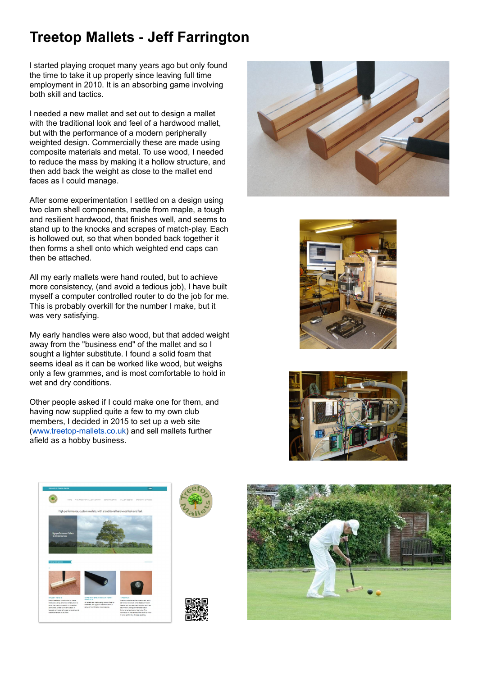## **Treetop Mallets - Jeff Farrington**

I started playing croquet many years ago but only found the time to take it up properly since leaving full time employment in 2010. It is an absorbing game involving both skill and tactics.

I needed a new mallet and set out to design a mallet with the traditional look and feel of a hardwood mallet, but with the performance of a modern peripherally weighted design. Commercially these are made using composite materials and metal. To use wood, I needed to reduce the mass by making it a hollow structure, and then add back the weight as close to the mallet end faces as I could manage.

After some experimentation I settled on a design using two clam shell components, made from maple, a tough and resilient hardwood, that finishes well, and seems to stand up to the knocks and scrapes of match-play. Each is hollowed out, so that when bonded back together it then forms a shell onto which weighted end caps can then be attached.

All my early mallets were hand routed, but to achieve more consistency, (and avoid a tedious job), I have built myself a computer controlled router to do the job for me. This is probably overkill for the number I make, but it was very satisfying.

My early handles were also wood, but that added weight away from the "business end" of the mallet and so I sought a lighter substitute. I found a solid foam that seems ideal as it can be worked like wood, but weighs only a few grammes, and is most comfortable to hold in wet and dry conditions.





Other people asked if I could make one for them, and having now supplied quite a few to my own club members, I decided in 2015 to set up a web site (www.treetop-mallets.co.uk) and sell mallets further afield as a hobby business.